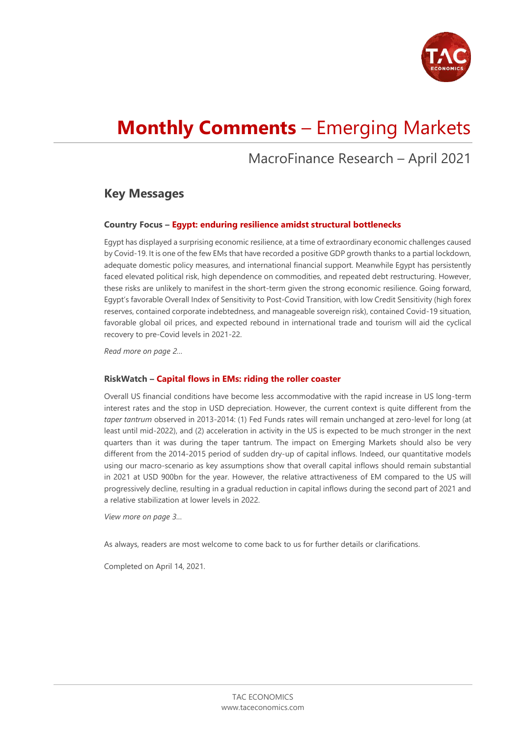

# **Monthly Comments** – Emerging Markets

# MacroFinance Research – April 2021

### **Key Messages**

#### **Country Focus – Egypt: enduring resilience amidst structural bottlenecks**

Egypt has displayed a surprising economic resilience, at a time of extraordinary economic challenges caused by Covid-19. It is one of the few EMs that have recorded a positive GDP growth thanks to a partial lockdown, adequate domestic policy measures, and international financial support. Meanwhile Egypt has persistently faced elevated political risk, high dependence on commodities, and repeated debt restructuring. However, these risks are unlikely to manifest in the short-term given the strong economic resilience. Going forward, Egypt's favorable Overall Index of Sensitivity to Post-Covid Transition, with low Credit Sensitivity (high forex reserves, contained corporate indebtedness, and manageable sovereign risk), contained Covid-19 situation, favorable global oil prices, and expected rebound in international trade and tourism will aid the cyclical recovery to pre-Covid levels in 2021-22.

*Read more on page 2…*

#### **RiskWatch – Capital flows in EMs: riding the roller coaster**

Overall US financial conditions have become less accommodative with the rapid increase in US long-term interest rates and the stop in USD depreciation. However, the current context is quite different from the *taper tantrum* observed in 2013-2014: (1) Fed Funds rates will remain unchanged at zero-level for long (at least until mid-2022), and (2) acceleration in activity in the US is expected to be much stronger in the next quarters than it was during the taper tantrum. The impact on Emerging Markets should also be very different from the 2014-2015 period of sudden dry-up of capital inflows. Indeed, our quantitative models using our macro-scenario as key assumptions show that overall capital inflows should remain substantial in 2021 at USD 900bn for the year. However, the relative attractiveness of EM compared to the US will progressively decline, resulting in a gradual reduction in capital inflows during the second part of 2021 and a relative stabilization at lower levels in 2022.

*View more on page 3…*

As always, readers are most welcome to come back to us for further details or clarifications.

Completed on April 14, 2021.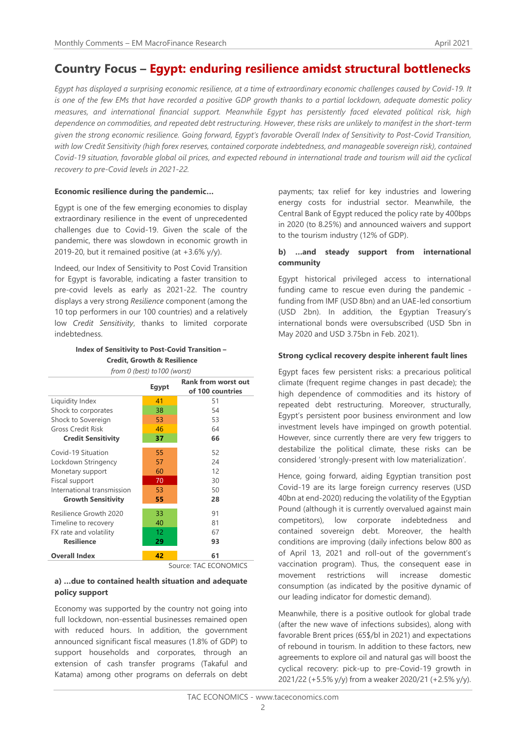# **Country Focus – Egypt: enduring resilience amidst structural bottlenecks**

*Egypt has displayed a surprising economic resilience, at a time of extraordinary economic challenges caused by Covid-19. It is one of the few EMs that have recorded a positive GDP growth thanks to a partial lockdown, adequate domestic policy measures, and international financial support. Meanwhile Egypt has persistently faced elevated political risk, high dependence on commodities, and repeated debt restructuring. However, these risks are unlikely to manifest in the short-term given the strong economic resilience. Going forward, Egypt's favorable Overall Index of Sensitivity to Post-Covid Transition, with low Credit Sensitivity (high forex reserves, contained corporate indebtedness, and manageable sovereign risk), contained Covid-19 situation, favorable global oil prices, and expected rebound in international trade and tourism will aid the cyclical recovery to pre-Covid levels in 2021-22.* 

#### **Economic resilience during the pandemic…**

Egypt is one of the few emerging economies to display extraordinary resilience in the event of unprecedented challenges due to Covid-19. Given the scale of the pandemic, there was slowdown in economic growth in 2019-20, but it remained positive (at  $+3.6\%$  y/y).

Indeed, our Index of Sensitivity to Post Covid Transition for Egypt is favorable, indicating a faster transition to pre-covid levels as early as 2021-22. The country displays a very strong *Resilience* component (among the 10 top performers in our 100 countries) and a relatively low *Credit Sensitivity*, thanks to limited corporate indebtedness.

#### **Index of Sensitivity to Post-Covid Transition – Credit, Growth & Resilience** *from 0 (best) to100 (worst)*

|                            | Egypt                 | <b>Rank from worst out</b><br>of 100 countries |
|----------------------------|-----------------------|------------------------------------------------|
| Liquidity Index            | 41                    | 51                                             |
| Shock to corporates        | 38                    | 54                                             |
| Shock to Sovereign         | 53                    | 53                                             |
| <b>Gross Credit Risk</b>   | 46                    | 64                                             |
| <b>Credit Sensitivity</b>  | 37                    | 66                                             |
| Covid-19 Situation         | 55                    | 52                                             |
| Lockdown Stringency        | 57                    | 24                                             |
| Monetary support           | 60                    | 12                                             |
| Fiscal support             | 70                    | 30                                             |
| International transmission | 53                    | 50                                             |
| <b>Growth Sensitivity</b>  | 55                    | 28                                             |
| Resilience Growth 2020     | 33                    | 91                                             |
| Timeline to recovery       | 40                    | 81                                             |
| FX rate and volatility     | $12 \overline{ }$     | 67                                             |
| <b>Resilience</b>          | 29                    | 93                                             |
| <b>Overall Index</b>       | 42                    | 61                                             |
|                            | Source: TAC ECONOMICS |                                                |

#### **a) …due to contained health situation and adequate policy support**

Economy was supported by the country not going into full lockdown, non-essential businesses remained open with reduced hours. In addition, the government announced significant fiscal measures (1.8% of GDP) to support households and corporates, through an extension of cash transfer programs (Takaful and Katama) among other programs on deferrals on debt

payments; tax relief for key industries and lowering energy costs for industrial sector. Meanwhile, the Central Bank of Egypt reduced the policy rate by 400bps in 2020 (to 8.25%) and announced waivers and support to the tourism industry (12% of GDP).

#### **b) …and steady support from international community**

Egypt historical privileged access to international funding came to rescue even during the pandemic funding from IMF (USD 8bn) and an UAE-led consortium (USD 2bn). In addition, the Egyptian Treasury's international bonds were oversubscribed (USD 5bn in May 2020 and USD 3.75bn in Feb. 2021).

#### **Strong cyclical recovery despite inherent fault lines**

Egypt faces few persistent risks: a precarious political climate (frequent regime changes in past decade); the high dependence of commodities and its history of repeated debt restructuring. Moreover, structurally, Egypt's persistent poor business environment and low investment levels have impinged on growth potential. However, since currently there are very few triggers to destabilize the political climate, these risks can be considered 'strongly-present with low materialization'.

Hence, going forward, aiding Egyptian transition post Covid-19 are its large foreign currency reserves (USD 40bn at end-2020) reducing the volatility of the Egyptian Pound (although it is currently overvalued against main competitors), low corporate indebtedness and contained sovereign debt. Moreover, the health conditions are improving (daily infections below 800 as of April 13, 2021 and roll-out of the government's vaccination program). Thus, the consequent ease in movement restrictions will increase domestic consumption (as indicated by the positive dynamic of our leading indicator for domestic demand).

Meanwhile, there is a positive outlook for global trade (after the new wave of infections subsides), along with favorable Brent prices (65\$/bl in 2021) and expectations of rebound in tourism. In addition to these factors, new agreements to explore oil and natural gas will boost the cyclical recovery: pick-up to pre-Covid-19 growth in 2021/22 (+5.5% y/y) from a weaker 2020/21 (+2.5% y/y).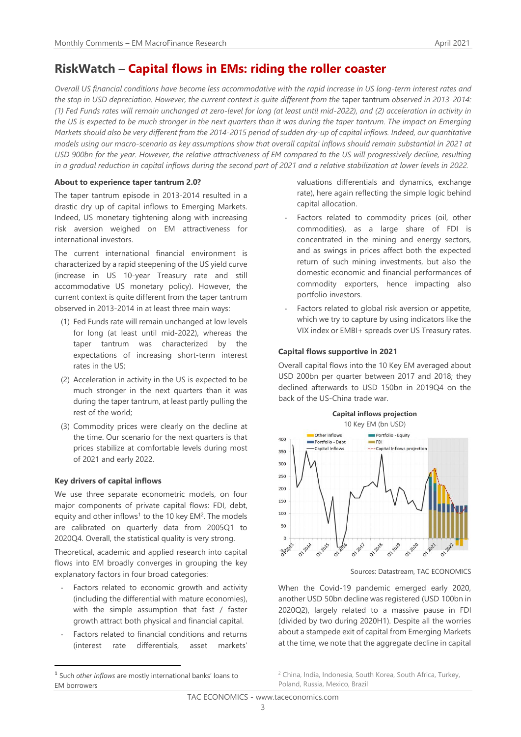# **RiskWatch – Capital flows in EMs: riding the roller coaster**

*Overall US financial conditions have become less accommodative with the rapid increase in US long-term interest rates and the stop in USD depreciation. However, the current context is quite different from the* taper tantrum *observed in 2013-2014: (1) Fed Funds rates will remain unchanged at zero-level for long (at least until mid-2022), and (2) acceleration in activity in the US is expected to be much stronger in the next quarters than it was during the taper tantrum. The impact on Emerging Markets should also be very different from the 2014-2015 period of sudden dry-up of capital inflows. Indeed, our quantitative models using our macro-scenario as key assumptions show that overall capital inflows should remain substantial in 2021 at USD 900bn for the year. However, the relative attractiveness of EM compared to the US will progressively decline, resulting in a gradual reduction in capital inflows during the second part of 2021 and a relative stabilization at lower levels in 2022.*

#### **About to experience taper tantrum 2.0?**

The taper tantrum episode in 2013-2014 resulted in a drastic dry up of capital inflows to Emerging Markets. Indeed, US monetary tightening along with increasing risk aversion weighed on EM attractiveness for international investors.

The current international financial environment is characterized by a rapid steepening of the US yield curve (increase in US 10-year Treasury rate and still accommodative US monetary policy). However, the current context is quite different from the taper tantrum observed in 2013-2014 in at least three main ways:

- (1) Fed Funds rate will remain unchanged at low levels for long (at least until mid-2022), whereas the taper tantrum was characterized by the expectations of increasing short-term interest rates in the US;
- (2) Acceleration in activity in the US is expected to be much stronger in the next quarters than it was during the taper tantrum, at least partly pulling the rest of the world;
- (3) Commodity prices were clearly on the decline at the time. Our scenario for the next quarters is that prices stabilize at comfortable levels during most of 2021 and early 2022.

#### **Key drivers of capital inflows**

We use three separate econometric models, on four major components of private capital flows: FDI, debt, equity and other inflows<sup>1</sup> to the 10 key  $EM<sup>2</sup>$ . The models are calibrated on quarterly data from 2005Q1 to 2020Q4. Overall, the statistical quality is very strong.

Theoretical, academic and applied research into capital flows into EM broadly converges in grouping the key explanatory factors in four broad categories:

- Factors related to economic growth and activity (including the differential with mature economies), with the simple assumption that fast / faster growth attract both physical and financial capital.
- Factors related to financial conditions and returns (interest rate differentials, asset markets'

valuations differentials and dynamics, exchange rate), here again reflecting the simple logic behind capital allocation.

- Factors related to commodity prices (oil, other commodities), as a large share of FDI is concentrated in the mining and energy sectors, and as swings in prices affect both the expected return of such mining investments, but also the domestic economic and financial performances of commodity exporters, hence impacting also portfolio investors.
- Factors related to global risk aversion or appetite, which we try to capture by using indicators like the VIX index or EMBI+ spreads over US Treasury rates.

#### **Capital flows supportive in 2021**

Overall capital flows into the 10 Key EM averaged about USD 200bn per quarter between 2017 and 2018; they declined afterwards to USD 150bn in 2019Q4 on the back of the US-China trade war.



Sources: Datastream, TAC ECONOMICS

When the Covid-19 pandemic emerged early 2020, another USD 50bn decline was registered (USD 100bn in 2020Q2), largely related to a massive pause in FDI (divided by two during 2020H1). Despite all the worries about a stampede exit of capital from Emerging Markets at the time, we note that the aggregate decline in capital

<sup>2</sup> China, India, Indonesia, South Korea, South Africa, Turkey, Poland, Russia, Mexico, Brazil

<sup>1</sup> Such *other inflows* are mostly international banks' loans to EM borrowers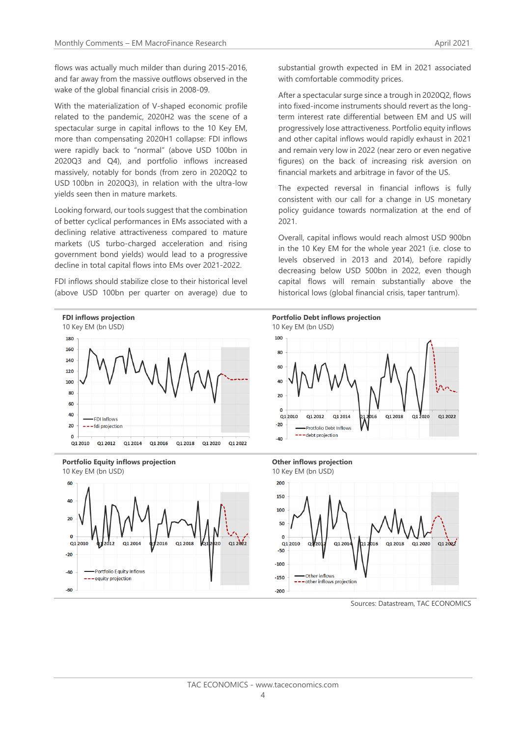flows was actually much milder than during 2015-2016, and far away from the massive outflows observed in the wake of the global financial crisis in 2008-09.

With the materialization of V-shaped economic profile related to the pandemic, 2020H2 was the scene of a spectacular surge in capital inflows to the 10 Key EM, more than compensating 2020H1 collapse: FDI inflows were rapidly back to "normal" (above USD 100bn in 2020Q3 and Q4), and portfolio inflows increased massively, notably for bonds (from zero in 2020Q2 to USD 100bn in 2020Q3), in relation with the ultra-low yields seen then in mature markets.

Looking forward, our tools suggest that the combination of better cyclical performances in EMs associated with a declining relative attractiveness compared to mature markets (US turbo-charged acceleration and rising government bond yields) would lead to a progressive decline in total capital flows into EMs over 2021-2022.

FDI inflows should stabilize close to their historical level (above USD 100bn per quarter on average) due to







substantial growth expected in EM in 2021 associated with comfortable commodity prices.

After a spectacular surge since a trough in 2020Q2, flows into fixed-income instruments should revert as the longterm interest rate differential between EM and US will progressively lose attractiveness. Portfolio equity inflows and other capital inflows would rapidly exhaust in 2021 and remain very low in 2022 (near zero or even negative figures) on the back of increasing risk aversion on financial markets and arbitrage in favor of the US.

The expected reversal in financial inflows is fully consistent with our call for a change in US monetary policy guidance towards normalization at the end of 2021.

Overall, capital inflows would reach almost USD 900bn in the 10 Key EM for the whole year 2021 (i.e. close to levels observed in 2013 and 2014), before rapidly decreasing below USD 500bn in 2022, even though capital flows will remain substantially above the historical lows (global financial crisis, taper tantrum).



Sources: Datastream, TAC ECONOMICS